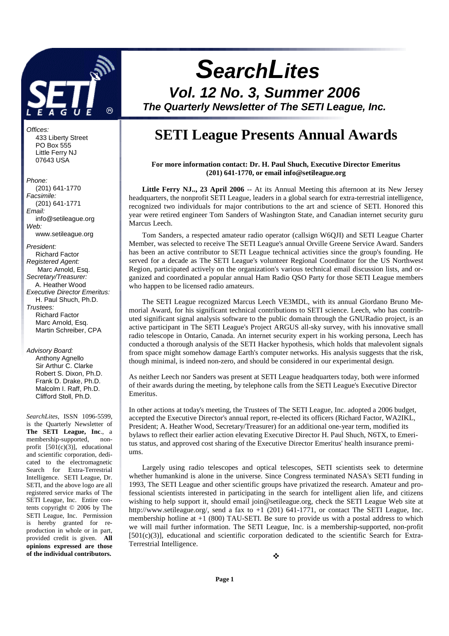

Offices: 433 Liberty Street PO Box 555 Little Ferry NJ 07643 USA

#### Phone:

 (201) 641-1770 Facsimile: (201) 641-1771 Email: info@setileague.org Web: www.setileague.org President: Richard Factor Registered Agent: Marc Arnold, Esq. Secretary/Treasurer: A. Heather Wood Executive Director Emeritus: H. Paul Shuch, Ph.D. Trustees: Richard Factor Marc Arnold, Esq. Martin Schreiber, CPA

#### Advisory Board:

 Anthony Agnello Sir Arthur C. Clarke Robert S. Dixon, Ph.D. Frank D. Drake, Ph.D. Malcolm I. Raff, Ph.D. Clifford Stoll, Ph.D.

*SearchLites*, ISSN 1096-5599, is the Quarterly Newsletter of **The SETI League, Inc**., a membership-supported, nonprofit  $[501(c)(3)]$ , educational and scientific corporation, dedicated to the electromagnetic Search for Extra-Terrestrial Intelligence. SETI League, Dr. SETI, and the above logo are all registered service marks of The SETI League, Inc. Entire contents copyright © 2006 by The SETI League, Inc. Permission is hereby granted for reproduction in whole or in part, provided credit is given. **All opinions expressed are those of the individual contributors.** 

# **SearchLites**

**Vol. 12 No. 3, Summer 2006 The Quarterly Newsletter of The SETI League, Inc.** 

# **SETI League Presents Annual Awards**

**For more information contact: Dr. H. Paul Shuch, Executive Director Emeritus (201) 641-1770, or email info@setileague.org** 

Little Ferry NJ.., 23 April 2006 -- At its Annual Meeting this afternoon at its New Jersey headquarters, the nonprofit SETI League, leaders in a global search for extra-terrestrial intelligence, recognized two individuals for major contributions to the art and science of SETI. Honored this year were retired engineer Tom Sanders of Washington State, and Canadian internet security guru Marcus Leech.

Tom Sanders, a respected amateur radio operator (callsign W6QJI) and SETI League Charter Member, was selected to receive The SETI League's annual Orville Greene Service Award. Sanders has been an active contributor to SETI League technical activities since the group's founding. He served for a decade as The SETI League's volunteer Regional Coordinator for the US Northwest Region, participated actively on the organization's various technical email discussion lists, and organized and coordinated a popular annual Ham Radio QSO Party for those SETI League members who happen to be licensed radio amateurs.

The SETI League recognized Marcus Leech VE3MDL, with its annual Giordano Bruno Memorial Award, for his significant technical contributions to SETI science. Leech, who has contributed significant signal analysis software to the public domain through the GNURadio project, is an active participant in The SETI League's Project ARGUS all-sky survey, with his innovative small radio telescope in Ontario, Canada. An internet security expert in his working persona, Leech has conducted a thorough analysis of the SETI Hacker hypothesis, which holds that malevolent signals from space might somehow damage Earth's computer networks. His analysis suggests that the risk, though minimal, is indeed non-zero, and should be considered in our experimental design.

As neither Leech nor Sanders was present at SETI League headquarters today, both were informed of their awards during the meeting, by telephone calls from the SETI League's Executive Director Emeritus.

In other actions at today's meeting, the Trustees of The SETI League, Inc. adopted a 2006 budget, accepted the Executive Director's annual report, re-elected its officers (Richard Factor, WA2IKL, President; A. Heather Wood, Secretary/Treasurer) for an additional one-year term, modified its bylaws to reflect their earlier action elevating Executive Director H. Paul Shuch, N6TX, to Emeritus status, and approved cost sharing of the Executive Director Emeritus' health insurance premiums.

Largely using radio telescopes and optical telescopes, SETI scientists seek to determine whether humankind is alone in the universe. Since Congress terminated NASA's SETI funding in 1993, The SETI League and other scientific groups have privatized the research. Amateur and professional scientists interested in participating in the search for intelligent alien life, and citizens wishing to help support it, should email join@setileague.org, check the SETI League Web site at http://www.setileague.org/, send a fax to  $+1$  (201) 641-1771, or contact The SETI League, Inc. membership hotline at  $+1$  (800) TAU-SETI. Be sure to provide us with a postal address to which we will mail further information. The SETI League, Inc. is a membership-supported, non-profit [501(c)(3)], educational and scientific corporation dedicated to the scientific Search for Extra-Terrestrial Intelligence.

÷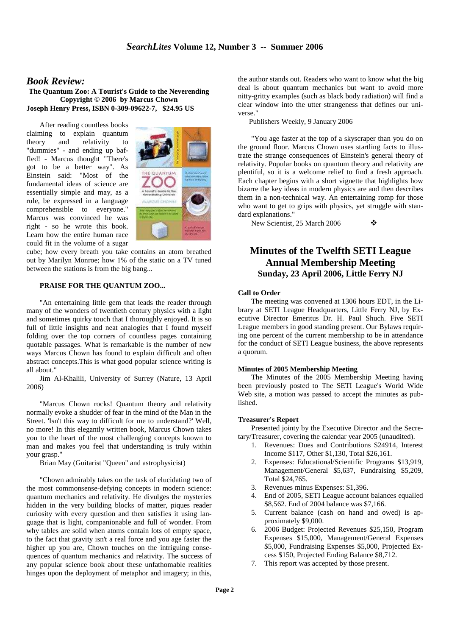# *Book Review:*

**The Quantum Zoo: A Tourist's Guide to the Neverending Copyright © 2006 by Marcus Chown Joseph Henry Press, ISBN 0-309-09622-7, \$24.95 US**

After reading countless books claiming to explain quantum theory and relativity to "dummies" - and ending up baffled! - Marcus thought "There's got to be a better way". As Einstein said: "Most of the fundamental ideas of science are essentially simple and may, as a rule, be expressed in a language comprehensible to everyone." Marcus was convinced he was right - so he wrote this book. Learn how the entire human race could fit in the volume of a sugar



cube; how every breath you take contains an atom breathed out by Marilyn Monroe; how 1% of the static on a TV tuned between the stations is from the big bang...

# **PRAISE FOR THE QUANTUM ZOO...**

"An entertaining little gem that leads the reader through many of the wonders of twentieth century physics with a light and sometimes quirky touch that I thoroughly enjoyed. It is so full of little insights and neat analogies that I found myself folding over the top corners of countless pages containing quotable passages. What is remarkable is the number of new ways Marcus Chown has found to explain difficult and often abstract concepts.This is what good popular science writing is all about."

Jim Al-Khalili, University of Surrey (Nature, 13 April 2006)

"Marcus Chown rocks! Quantum theory and relativity normally evoke a shudder of fear in the mind of the Man in the Street. 'Isn't this way to difficult for me to understand?' Well, no more! In this elegantly written book, Marcus Chown takes you to the heart of the most challenging concepts known to man and makes you feel that understanding is truly within your grasp."

Brian May (Guitarist "Queen" and astrophysicist)

"Chown admirably takes on the task of elucidating two of the most commonsense-defying concepts in modern science: quantum mechanics and relativity. He divulges the mysteries hidden in the very building blocks of matter, piques reader curiosity with every question and then satisfies it using language that is light, companionable and full of wonder. From why tables are solid when atoms contain lots of empty space, to the fact that gravity isn't a real force and you age faster the higher up you are, Chown touches on the intriguing consequences of quantum mechanics and relativity. The success of any popular science book about these unfathomable realities hinges upon the deployment of metaphor and imagery; in this,

the author stands out. Readers who want to know what the big deal is about quantum mechanics but want to avoid more nitty-gritty examples (such as black body radiation) will find a clear window into the utter strangeness that defines our universe."

Publishers Weekly, 9 January 2006

"You age faster at the top of a skyscraper than you do on the ground floor. Marcus Chown uses startling facts to illustrate the strange consequences of Einstein's general theory of relativity. Popular books on quantum theory and relativity are plentiful, so it is a welcome relief to find a fresh approach. Each chapter begins with a short vignette that highlights how bizarre the key ideas in modern physics are and then describes them in a non-technical way. An entertaining romp for those who want to get to grips with physics, yet struggle with standard explanations."

New Scientist, 25 March 2006 →

# **Minutes of the Twelfth SETI League Annual Membership Meeting Sunday, 23 April 2006, Little Ferry NJ**

# **Call to Order**

The meeting was convened at 1306 hours EDT, in the Library at SETI League Headquarters, Little Ferry NJ, by Executive Director Emeritus Dr. H. Paul Shuch. Five SETI League members in good standing present. Our Bylaws requiring one percent of the current membership to be in attendance for the conduct of SETI League business, the above represents a quorum.

# **Minutes of 2005 Membership Meeting**

The Minutes of the 2005 Membership Meeting having been previously posted to The SETI League's World Wide Web site, a motion was passed to accept the minutes as published.

#### **Treasurer's Report**

Presented jointy by the Executive Director and the Secretary/Treasurer, covering the calendar year 2005 (unaudited).

- 1. Revenues: Dues and Contributions \$24914, Interest Income \$117, Other \$1,130, Total \$26,161.
- 2. Expenses: Educational/Scientific Programs \$13,919, Management/General \$5,637, Fundraising \$5,209, Total \$24,765.
- 3. Revenues minus Expenses: \$1,396.
- 4. End of 2005, SETI League account balances equalled \$8,562. End of 2004 balance was \$7,166.
- 5. Current balance (cash on hand and owed) is approximately \$9,000.
- 6. 2006 Budget: Projected Revenues \$25,150, Program Expenses \$15,000, Management/General Expenses \$5,000, Fundraising Expenses \$5,000, Projected Excess \$150, Projected Ending Balance \$8,712.
- 7. This report was accepted by those present.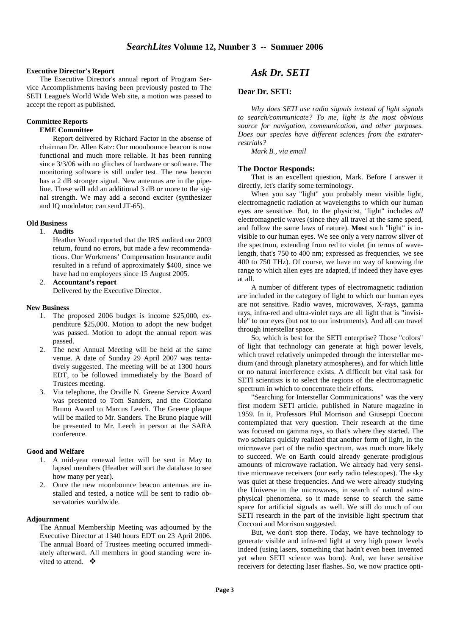# **Executive Director's Report**

The Executive Director's annual report of Program Service Accomplishments having been previously posted to The SETI League's World Wide Web site, a motion was passed to accept the report as published.

# **Committee Reports**

# **EME Committee**

Report delivered by Richard Factor in the absense of chairman Dr. Allen Katz: Our moonbounce beacon is now functional and much more reliable. It has been running since 3/3/06 with no glitches of hardware or software. The monitoring software is still under test. The new beacon has a 2 dB stronger signal. New antennas are in the pipeline. These will add an additional 3 dB or more to the signal strength. We may add a second exciter (synthesizer and IQ modulator; can send JT-65).

#### **Old Business**

#### 1. **Audits**

Heather Wood reported that the IRS audited our 2003 return, found no errors, but made a few recommendations. Our Workmens' Compensation Insurance audit resulted in a refund of approximately \$400, since we have had no employees since 15 August 2005.

2. **Accountant's report** Delivered by the Executive Director.

#### **New Business**

- 1. The proposed 2006 budget is income \$25,000, expenditure \$25,000. Motion to adopt the new budget was passed. Motion to adopt the annual report was passed.
- 2. The next Annual Meeting will be held at the same venue. A date of Sunday 29 April 2007 was tentatively suggested. The meeting will be at 1300 hours EDT, to be followed immediately by the Board of Trustees meeting.
- 3. Via telephone, the Orville N. Greene Service Award was presented to Tom Sanders, and the Giordano Bruno Award to Marcus Leech. The Greene plaque will be mailed to Mr. Sanders. The Bruno plaque will be presented to Mr. Leech in person at the SARA conference.

#### **Good and Welfare**

- 1. A mid-year renewal letter will be sent in May to lapsed members (Heather will sort the database to see how many per year).
- 2. Once the new moonbounce beacon antennas are installed and tested, a notice will be sent to radio observatories worldwide.

# **Adjournment**

The Annual Membership Meeting was adjourned by the Executive Director at 1340 hours EDT on 23 April 2006. The annual Board of Trustees meeting occurred immediately afterward. All members in good standing were invited to attend.  $\bullet$ 

# *Ask Dr. SETI*

# **Dear Dr. SETI:**

 *Why does SETI use radio signals instead of light signals to search/communicate? To me, light is the most obvious source for navigation, communication, and other purposes. Does our species have different sciences from the extraterrestrials?* 

*Mark B., via email*

#### **The Doctor Responds:**

 That is an excellent question, Mark. Before I answer it directly, let's clarify some terminology.

When you say "light" you probably mean visible light, electromagnetic radiation at wavelengths to which our human eyes are sensitive. But, to the physicist, "light" includes *all* electromagnetic waves (since they all travel at the same speed, and follow the same laws of nature). **Most** such "light" is invisible to our human eyes. We see only a very narrow sliver of the spectrum, extending from red to violet (in terms of wavelength, that's 750 to 400 nm; expressed as frequencies, we see 400 to 750 THz). Of course, we have no way of knowing the range to which alien eyes are adapted, if indeed they have eyes at all.

A number of different types of electromagnetic radiation are included in the category of light to which our human eyes are not sensitive. Radio waves, microwaves, X-rays, gamma rays, infra-red and ultra-violet rays are all light that is "invisible" to our eyes (but not to our instruments). And all can travel through interstellar space.

So, which is best for the SETI enterprise? Those "colors" of light that technology can generate at high power levels, which travel relatively unimpeded through the interstellar medium (and through planetary atmospheres), and for which little or no natural interference exists. A difficult but vital task for SETI scientists is to select the regions of the electromagnetic spectrum in which to concentrate their efforts.

"Searching for Interstellar Communications" was the very first modern SETI article, published in Nature magazine in 1959. In it, Professors Phil Morrison and Giuseppi Cocconi contemplated that very question. Their research at the time was focused on gamma rays, so that's where they started. The two scholars quickly realized that another form of light, in the microwave part of the radio spectrum, was much more likely to succeed. We on Earth could already generate prodigious amounts of microwave radiation. We already had very sensitive microwave receivers (our early radio telescopes). The sky was quiet at these frequencies. And we were already studying the Universe in the microwaves, in search of natural astrophysical phenomena, so it made sense to search the same space for artificial signals as well. We still do much of our SETI research in the part of the invisible light spectrum that Cocconi and Morrison suggested.

But, we don't stop there. Today, we have technology to generate visible and infra-red light at very high power levels indeed (using lasers, something that hadn't even been invented yet when SETI science was born). And, we have sensitive receivers for detecting laser flashes. So, we now practice opti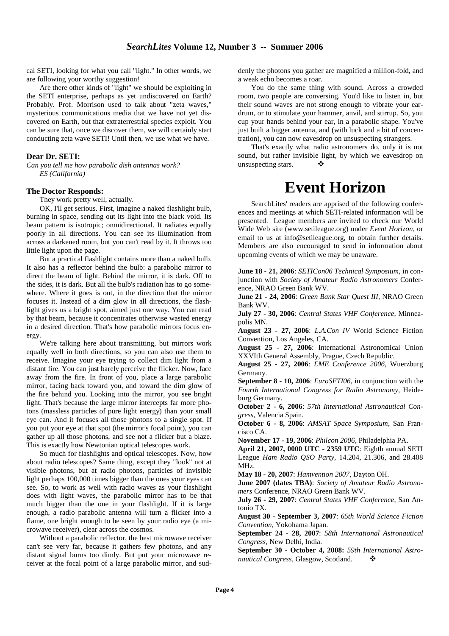cal SETI, looking for what you call "light." In other words, we are following your worthy suggestion!

Are there other kinds of "light" we should be exploiting in the SETI enterprise, perhaps as yet undiscovered on Earth? Probably. Prof. Morrison used to talk about "zeta waves," mysterious communications media that we have not yet discovered on Earth, but that extraterrestrial species exploit. You can be sure that, once we discover them, we will certainly start conducting zeta wave SETI! Until then, we use what we have.

# **Dear Dr. SETI:**

*Can you tell me how parabolic dish antennas work? ES (California)* 

# **The Doctor Responds:**

They work pretty well, actually.

OK, I'll get serious. First, imagine a naked flashlight bulb, burning in space, sending out its light into the black void. Its beam pattern is isotropic; omnidirectional. It radiates equally poorly in all directions. You can see its illumination from across a darkened room, but you can't read by it. It throws too little light upon the page.

But a practical flashlight contains more than a naked bulb. It also has a reflector behind the bulb: a parabolic mirror to direct the beam of light. Behind the mirror, it is dark. Off to the sides, it is dark. But all the bulb's radiation has to go somewhere. Where it goes is out, in the direction that the mirror focuses it. Instead of a dim glow in all directions, the flashlight gives us a bright spot, aimed just one way. You can read by that beam, because it concentrates otherwise wasted energy in a desired direction. That's how parabolic mirrors focus energy.

We're talking here about transmitting, but mirrors work equally well in both directions, so you can also use them to receive. Imagine your eye trying to collect dim light from a distant fire. You can just barely perceive the flicker. Now, face away from the fire. In front of you, place a large parabolic mirror, facing back toward you, and toward the dim glow of the fire behind you. Looking into the mirror, you see bright light. That's because the large mirror intercepts far more photons (massless particles of pure light energy) than your small eye can. And it focuses all those photons to a single spot. If you put your eye at that spot (the mirror's focal point), you can gather up all those photons, and see not a flicker but a blaze. This is exactly how Newtonian optical telescopes work.

So much for flashlights and optical telescopes. Now, how about radio telescopes? Same thing, except they "look" not at visible photons, but at radio photons, particles of invisible light perhaps 100,000 times bigger than the ones your eyes can see. So, to work as well with radio waves as your flashlight does with light waves, the parabolic mirror has to be that much bigger than the one in your flashlight. If it is large enough, a radio parabolic antenna will turn a flicker into a flame, one bright enough to be seen by your radio eye (a microwave receiver), clear across the cosmos.

Without a parabolic reflector, the best microwave receiver can't see very far, because it gathers few photons, and any distant signal burns too dimly. But put your microwave receiver at the focal point of a large parabolic mirror, and suddenly the photons you gather are magnified a million-fold, and a weak echo becomes a roar.

You do the same thing with sound. Across a crowded room, two people are conversing. You'd like to listen in, but their sound waves are not strong enough to vibrate your eardrum, or to stimulate your hammer, anvil, and stirrup. So, you cup your hands behind your ear, in a parabolic shape. You've just built a bigger antenna, and (with luck and a bit of concentration), you can now eavesdrop on unsuspecting strangers.

That's exactly what radio astronomers do, only it is not sound, but rather invisible light, by which we eavesdrop on unsuspecting stars.  $\bullet$ 

# **Event Horizon**

SearchLites' readers are apprised of the following conferences and meetings at which SETI-related information will be presented. League members are invited to check our World Wide Web site (www.setileague.org) under *Event Horizon*, or email to us at info@setileague.org, to obtain further details. Members are also encouraged to send in information about upcoming events of which we may be unaware.

**June 18 - 21, 2006**: *SETICon06 Technical Symposium*, in conjunction with *Society of Amateur Radio Astronomers* Conference, NRAO Green Bank WV.

**June 21 - 24, 2006**: *Green Bank Star Quest III*, NRAO Green Bank WV.

**July 27 - 30, 2006**: *Central States VHF Conference*, Minneapolis MN.

**August 23 - 27, 2006**: *L.A.Con IV* World Science Fiction Convention, Los Angeles, CA.

**August 25 - 27, 2006**: International Astronomical Union XXVIth General Assembly, Prague, Czech Republic.

**August 25 - 27, 2006**: *EME Conference 2006*, Wuerzburg Germany.

**September 8 - 10, 2006**: *EuroSETI06*, in conjunction with the *Fourth International Congress for Radio Astronomy,* Heideburg Germany.

**October 2 - 6, 2006**: *57th International Astronautical Congress*, Valencia Spain.

**October 6 - 8, 2006**: *AMSAT Space Symposium*, San Francisco CA.

**November 17 - 19, 2006**: *Philcon 2006*, Philadelphia PA.

**April 21, 2007, 0000 UTC - 2359 UTC**: Eighth annual SETI League *Ham Radio QSO Party*, 14.204, 21.306, and 28.408 MHz.

**May 18 - 20, 2007**: *Hamvention 2007*, Dayton OH.

**June 2007 (dates TBA)**: *Society of Amateur Radio Astronomers* Conference, NRAO Green Bank WV.

**July 26 - 29, 2007**: *Central States VHF Conference*, San Antonio TX.

**August 30 - September 3, 2007**: *65th World Science Fiction Convention*, Yokohama Japan.

**September 24 - 28, 2007**: *58th International Astronautical Congress*, New Delhi, India.

**September 30 - October 4, 2008:** *59th International Astronautical Congress*, Glasgow, Scotland.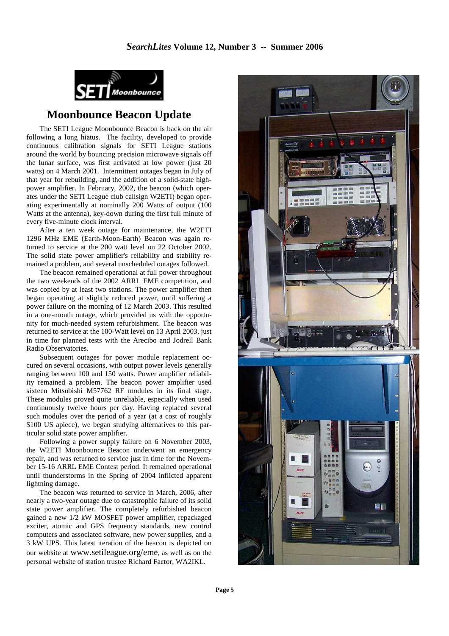

# **Moonbounce Beacon Update**

The SETI League Moonbounce Beacon is back on the air following a long hiatus. The facility, developed to provide continuous calibration signals for SETI League stations around the world by bouncing precision microwave signals off the lunar surface, was first activated at low power (just 20 watts) on 4 March 2001. Intermittent outages began in July of that year for rebuilding, and the addition of a solid-state highpower amplifier. In February, 2002, the beacon (which operates under the SETI League club callsign W2ETI) began operating experimentally at nominally 200 Watts of output (100 Watts at the antenna), key-down during the first full minute of every five-minute clock interval.

After a ten week outage for maintenance, the W2ETI 1296 MHz EME (Earth-Moon-Earth) Beacon was again returned to service at the 200 watt level on 22 October 2002. The solid state power amplifier's reliability and stability remained a problem, and several unscheduled outages followed.

The beacon remained operational at full power throughout the two weekends of the 2002 ARRL EME competition, and was copied by at least two stations. The power amplifier then began operating at slightly reduced power, until suffering a power failure on the morning of 12 March 2003. This resulted in a one-month outage, which provided us with the opportunity for much-needed system refurbishment. The beacon was returned to service at the 100-Watt level on 13 April 2003, just in time for planned tests with the Arecibo and Jodrell Bank Radio Observatories.

Subsequent outages for power module replacement occured on several occasions, with output power levels generally ranging between 100 and 150 watts. Power amplifier reliability remained a problem. The beacon power amplifier used sixteen Mitsubishi M57762 RF modules in its final stage. These modules proved quite unreliable, especially when used continuously twelve hours per day. Having replaced several such modules over the period of a year (at a cost of roughly \$100 US apiece), we began studying alternatives to this particular solid state power amplifier.

Following a power supply failure on 6 November 2003, the W2ETI Moonbounce Beacon underwent an emergency repair, and was returned to service just in time for the November 15-16 ARRL EME Contest period. It remained operational until thunderstorms in the Spring of 2004 inflicted apparent lightning damage.

The beacon was returned to service in March, 2006, after nearly a two-year outage due to catastrophic failure of its solid state power amplifier. The completely refurbished beacon gained a new 1/2 kW MOSFET power amplifier, repackaged exciter, atomic and GPS frequency standards, new control computers and associated software, new power supplies, and a 3 kW UPS. This latest iteration of the beacon is depicted on our website at www.setileague.org/eme, as well as on the personal website of station trustee Richard Factor, WA2IKL.

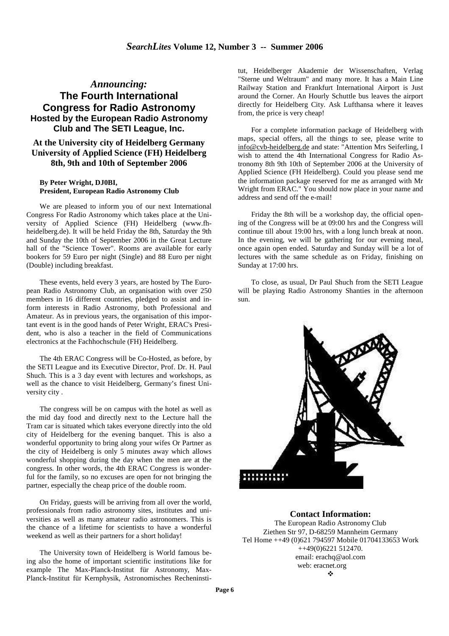# *Announcing:* **The Fourth International Congress for Radio Astronomy Hosted by the European Radio Astronomy Club and The SETI League, Inc.**

# **At the University city of Heidelberg Germany University of Applied Science (FH) Heidelberg 8th, 9th and 10th of September 2006**

# **By Peter Wright, DJ0BI, President, European Radio Astronomy Club**

We are pleased to inform you of our next International Congress For Radio Astronomy which takes place at the University of Applied Science (FH) Heidelberg (www.fhheidelberg.de). It will be held Friday the 8th, Saturday the 9th and Sunday the 10th of September 2006 in the Great Lecture hall of the "Science Tower". Rooms are available for early bookers for 59 Euro per night (Single) and 88 Euro per night (Double) including breakfast.

These events, held every 3 years, are hosted by The European Radio Astronomy Club, an organisation with over 250 members in 16 different countries, pledged to assist and inform interests in Radio Astronomy, both Professional and Amateur. As in previous years, the organisation of this important event is in the good hands of Peter Wright, ERAC's President, who is also a teacher in the field of Communications electronics at the Fachhochschule (FH) Heidelberg.

The 4th ERAC Congress will be Co-Hosted, as before, by the SETI League and its Executive Director, Prof. Dr. H. Paul Shuch. This is a 3 day event with lectures and workshops, as well as the chance to visit Heidelberg, Germany's finest University city .

The congress will be on campus with the hotel as well as the mid day food and directly next to the Lecture hall the Tram car is situated which takes everyone directly into the old city of Heidelberg for the evening banquet. This is also a wonderful opportunity to bring along your wifes Or Partner as the city of Heidelberg is only 5 minutes away which allows wonderful shopping during the day when the men are at the congress. In other words, the 4th ERAC Congress is wonderful for the family, so no excuses are open for not bringing the partner, especially the cheap price of the double room.

On Friday, guests will be arriving from all over the world, professionals from radio astronomy sites, institutes and universities as well as many amateur radio astronomers. This is the chance of a lifetime for scientists to have a wonderful weekend as well as their partners for a short holiday!

The University town of Heidelberg is World famous being also the home of important scientific institutions like for example The Max-Planck-Institut für Astronomy, Max-Planck-Institut für Kernphysik, Astronomisches Recheninstitut, Heidelberger Akademie der Wissenschaften, Verlag "Sterne und Weltraum" and many more. It has a Main Line Railway Station and Frankfurt International Airport is Just around the Corner. An Hourly Schuttle bus leaves the airport directly for Heidelberg City. Ask Lufthansa where it leaves from, the price is very cheap!

For a complete information package of Heidelberg with maps, special offers, all the things to see, please write to info@cvb-heidelberg.de and state: "Attention Mrs Seiferling, I wish to attend the 4th International Congress for Radio Astronomy 8th 9th 10th of September 2006 at the University of Applied Science (FH Heidelberg). Could you please send me the information package reserved for me as arranged with Mr Wright from ERAC." You should now place in your name and address and send off the e-mail!

Friday the 8th will be a workshop day, the official opening of the Congress will be at 09:00 hrs and the Congress will continue till about 19:00 hrs, with a long lunch break at noon. In the evening, we will be gathering for our evening meal, once again open ended. Saturday and Sunday will be a lot of lectures with the same schedule as on Friday, finishing on Sunday at 17:00 hrs.

To close, as usual, Dr Paul Shuch from the SETI League will be playing Radio Astronomy Shanties in the afternoon sun.



# **Contact Information:**

The European Radio Astronomy Club Ziethen Str 97, D-68259 Mannheim Germany Tel Home ++49 (0)621 794597 Mobile 01704133653 Work ++49(0)6221 512470. email: erachq@aol.com web: eracnet.org  $\mathbf{r}$